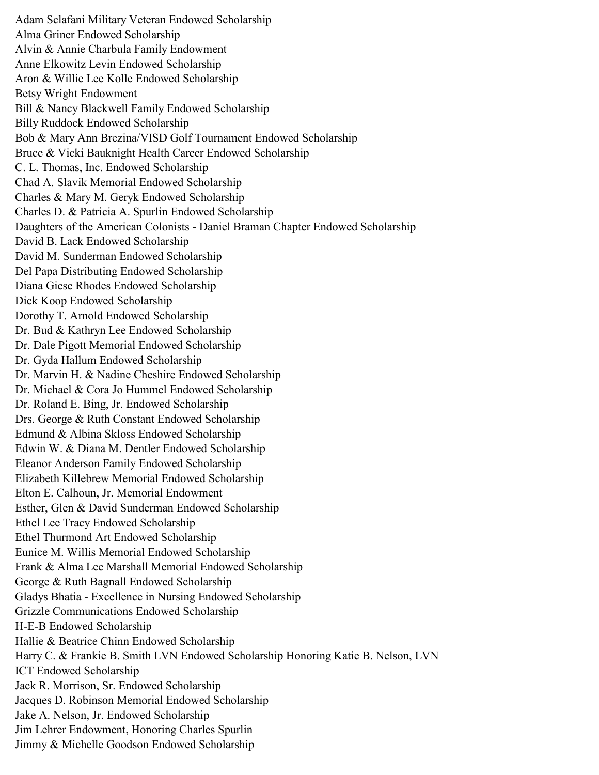Adam Sclafani Military Veteran Endowed Scholarship Alma Griner Endowed Scholarship Alvin & Annie Charbula Family Endowment Anne Elkowitz Levin Endowed Scholarship Aron & Willie Lee Kolle Endowed Scholarship Betsy Wright Endowment Bill & Nancy Blackwell Family Endowed Scholarship Billy Ruddock Endowed Scholarship Bob & Mary Ann Brezina/VISD Golf Tournament Endowed Scholarship Bruce & Vicki Bauknight Health Career Endowed Scholarship C. L. Thomas, Inc. Endowed Scholarship Chad A. Slavik Memorial Endowed Scholarship Charles & Mary M. Geryk Endowed Scholarship Charles D. & Patricia A. Spurlin Endowed Scholarship Daughters of the American Colonists - Daniel Braman Chapter Endowed Scholarship David B. Lack Endowed Scholarship David M. Sunderman Endowed Scholarship Del Papa Distributing Endowed Scholarship Diana Giese Rhodes Endowed Scholarship Dick Koop Endowed Scholarship Dorothy T. Arnold Endowed Scholarship Dr. Bud & Kathryn Lee Endowed Scholarship Dr. Dale Pigott Memorial Endowed Scholarship Dr. Gyda Hallum Endowed Scholarship Dr. Marvin H. & Nadine Cheshire Endowed Scholarship Dr. Michael & Cora Jo Hummel Endowed Scholarship Dr. Roland E. Bing, Jr. Endowed Scholarship Drs. George & Ruth Constant Endowed Scholarship Edmund & Albina Skloss Endowed Scholarship Edwin W. & Diana M. Dentler Endowed Scholarship Eleanor Anderson Family Endowed Scholarship Elizabeth Killebrew Memorial Endowed Scholarship Elton E. Calhoun, Jr. Memorial Endowment Esther, Glen & David Sunderman Endowed Scholarship Ethel Lee Tracy Endowed Scholarship Ethel Thurmond Art Endowed Scholarship Eunice M. Willis Memorial Endowed Scholarship Frank & Alma Lee Marshall Memorial Endowed Scholarship George & Ruth Bagnall Endowed Scholarship Gladys Bhatia - Excellence in Nursing Endowed Scholarship Grizzle Communications Endowed Scholarship H-E-B Endowed Scholarship Hallie & Beatrice Chinn Endowed Scholarship Harry C. & Frankie B. Smith LVN Endowed Scholarship Honoring Katie B. Nelson, LVN ICT Endowed Scholarship Jack R. Morrison, Sr. Endowed Scholarship Jacques D. Robinson Memorial Endowed Scholarship Jake A. Nelson, Jr. Endowed Scholarship Jim Lehrer Endowment, Honoring Charles Spurlin Jimmy & Michelle Goodson Endowed Scholarship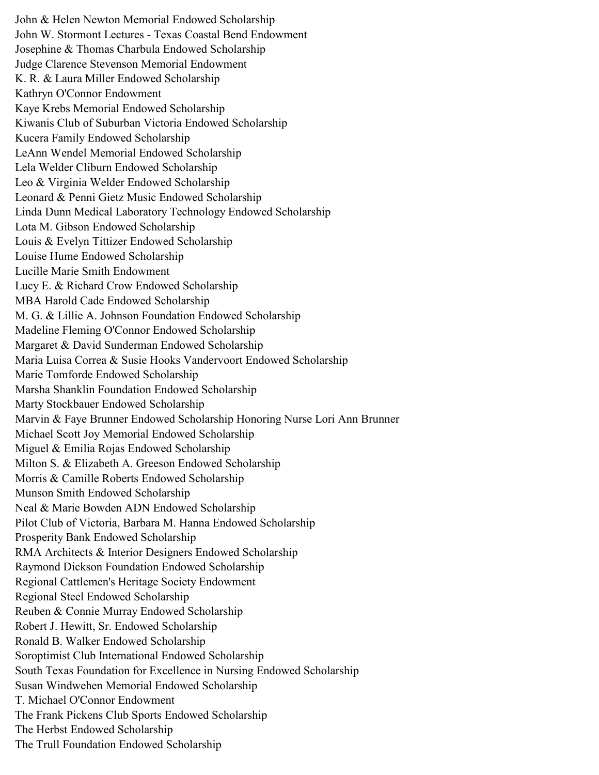John & Helen Newton Memorial Endowed Scholarship John W. Stormont Lectures - Texas Coastal Bend Endowment Josephine & Thomas Charbula Endowed Scholarship Judge Clarence Stevenson Memorial Endowment K. R. & Laura Miller Endowed Scholarship Kathryn O'Connor Endowment Kaye Krebs Memorial Endowed Scholarship Kiwanis Club of Suburban Victoria Endowed Scholarship Kucera Family Endowed Scholarship LeAnn Wendel Memorial Endowed Scholarship Lela Welder Cliburn Endowed Scholarship Leo & Virginia Welder Endowed Scholarship Leonard & Penni Gietz Music Endowed Scholarship Linda Dunn Medical Laboratory Technology Endowed Scholarship Lota M. Gibson Endowed Scholarship Louis & Evelyn Tittizer Endowed Scholarship Louise Hume Endowed Scholarship Lucille Marie Smith Endowment Lucy E. & Richard Crow Endowed Scholarship MBA Harold Cade Endowed Scholarship M. G. & Lillie A. Johnson Foundation Endowed Scholarship Madeline Fleming O'Connor Endowed Scholarship Margaret & David Sunderman Endowed Scholarship Maria Luisa Correa & Susie Hooks Vandervoort Endowed Scholarship Marie Tomforde Endowed Scholarship Marsha Shanklin Foundation Endowed Scholarship Marty Stockbauer Endowed Scholarship Marvin & Faye Brunner Endowed Scholarship Honoring Nurse Lori Ann Brunner Michael Scott Joy Memorial Endowed Scholarship Miguel & Emilia Rojas Endowed Scholarship Milton S. & Elizabeth A. Greeson Endowed Scholarship Morris & Camille Roberts Endowed Scholarship Munson Smith Endowed Scholarship Neal & Marie Bowden ADN Endowed Scholarship Pilot Club of Victoria, Barbara M. Hanna Endowed Scholarship Prosperity Bank Endowed Scholarship RMA Architects & Interior Designers Endowed Scholarship Raymond Dickson Foundation Endowed Scholarship Regional Cattlemen's Heritage Society Endowment Regional Steel Endowed Scholarship Reuben & Connie Murray Endowed Scholarship Robert J. Hewitt, Sr. Endowed Scholarship Ronald B. Walker Endowed Scholarship Soroptimist Club International Endowed Scholarship South Texas Foundation for Excellence in Nursing Endowed Scholarship Susan Windwehen Memorial Endowed Scholarship T. Michael O'Connor Endowment The Frank Pickens Club Sports Endowed Scholarship The Herbst Endowed Scholarship The Trull Foundation Endowed Scholarship